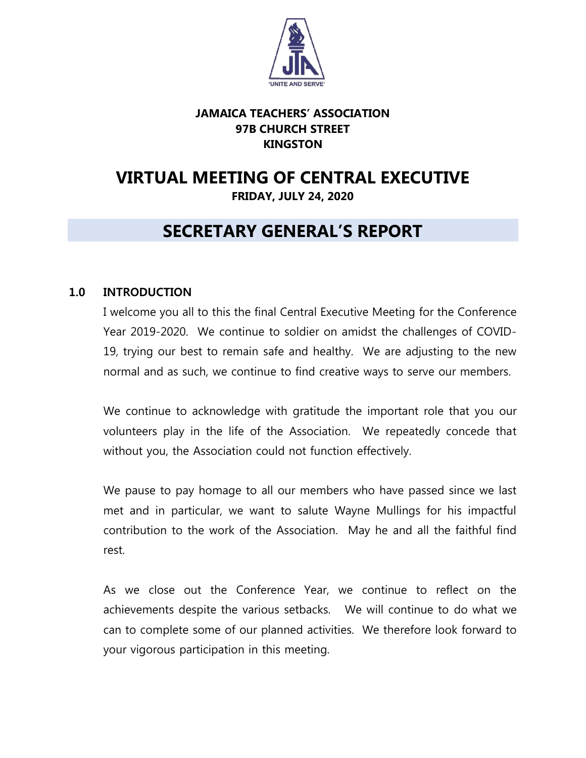

# **JAMAICA TEACHERS' ASSOCIATION 97B CHURCH STREET KINGSTON**

# **VIRTUAL MEETING OF CENTRAL EXECUTIVE FRIDAY, JULY 24, 2020**

# **SECRETARY GENERAL'S REPORT**

# **1.0 INTRODUCTION**

I welcome you all to this the final Central Executive Meeting for the Conference Year 2019-2020. We continue to soldier on amidst the challenges of COVID-19, trying our best to remain safe and healthy. We are adjusting to the new normal and as such, we continue to find creative ways to serve our members.

We continue to acknowledge with gratitude the important role that you our volunteers play in the life of the Association. We repeatedly concede that without you, the Association could not function effectively.

We pause to pay homage to all our members who have passed since we last met and in particular, we want to salute Wayne Mullings for his impactful contribution to the work of the Association. May he and all the faithful find rest.

As we close out the Conference Year, we continue to reflect on the achievements despite the various setbacks. We will continue to do what we can to complete some of our planned activities. We therefore look forward to your vigorous participation in this meeting.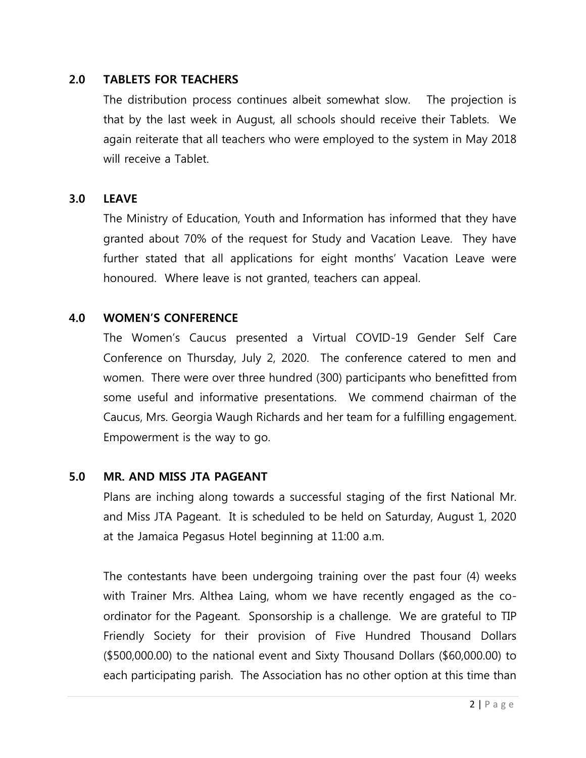### **2.0 TABLETS FOR TEACHERS**

The distribution process continues albeit somewhat slow. The projection is that by the last week in August, all schools should receive their Tablets. We again reiterate that all teachers who were employed to the system in May 2018 will receive a Tablet.

### **3.0 LEAVE**

The Ministry of Education, Youth and Information has informed that they have granted about 70% of the request for Study and Vacation Leave. They have further stated that all applications for eight months' Vacation Leave were honoured. Where leave is not granted, teachers can appeal.

### **4.0 WOMEN'S CONFERENCE**

The Women's Caucus presented a Virtual COVID-19 Gender Self Care Conference on Thursday, July 2, 2020. The conference catered to men and women. There were over three hundred (300) participants who benefitted from some useful and informative presentations. We commend chairman of the Caucus, Mrs. Georgia Waugh Richards and her team for a fulfilling engagement. Empowerment is the way to go.

#### **5.0 MR. AND MISS JTA PAGEANT**

Plans are inching along towards a successful staging of the first National Mr. and Miss JTA Pageant. It is scheduled to be held on Saturday, August 1, 2020 at the Jamaica Pegasus Hotel beginning at 11:00 a.m.

The contestants have been undergoing training over the past four (4) weeks with Trainer Mrs. Althea Laing, whom we have recently engaged as the coordinator for the Pageant. Sponsorship is a challenge. We are grateful to TIP Friendly Society for their provision of Five Hundred Thousand Dollars (\$500,000.00) to the national event and Sixty Thousand Dollars (\$60,000.00) to each participating parish. The Association has no other option at this time than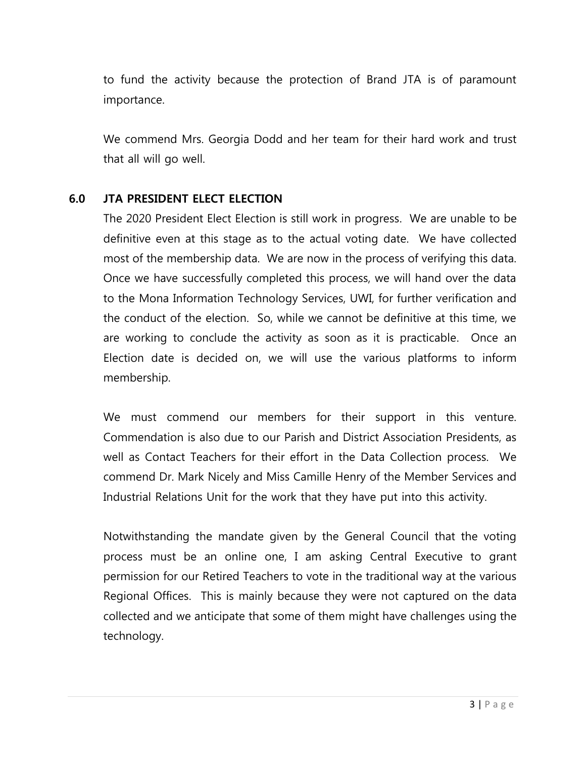to fund the activity because the protection of Brand JTA is of paramount importance.

We commend Mrs. Georgia Dodd and her team for their hard work and trust that all will go well.

# **6.0 JTA PRESIDENT ELECT ELECTION**

The 2020 President Elect Election is still work in progress. We are unable to be definitive even at this stage as to the actual voting date. We have collected most of the membership data. We are now in the process of verifying this data. Once we have successfully completed this process, we will hand over the data to the Mona Information Technology Services, UWI, for further verification and the conduct of the election. So, while we cannot be definitive at this time, we are working to conclude the activity as soon as it is practicable. Once an Election date is decided on, we will use the various platforms to inform membership.

We must commend our members for their support in this venture. Commendation is also due to our Parish and District Association Presidents, as well as Contact Teachers for their effort in the Data Collection process. We commend Dr. Mark Nicely and Miss Camille Henry of the Member Services and Industrial Relations Unit for the work that they have put into this activity.

Notwithstanding the mandate given by the General Council that the voting process must be an online one, I am asking Central Executive to grant permission for our Retired Teachers to vote in the traditional way at the various Regional Offices. This is mainly because they were not captured on the data collected and we anticipate that some of them might have challenges using the technology.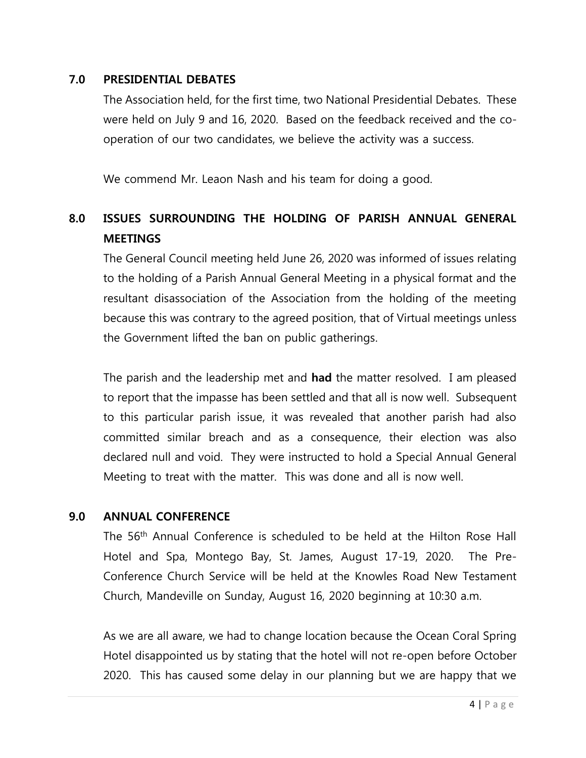### **7.0 PRESIDENTIAL DEBATES**

The Association held, for the first time, two National Presidential Debates. These were held on July 9 and 16, 2020. Based on the feedback received and the cooperation of our two candidates, we believe the activity was a success.

We commend Mr. Leaon Nash and his team for doing a good.

# **8.0 ISSUES SURROUNDING THE HOLDING OF PARISH ANNUAL GENERAL MEETINGS**

The General Council meeting held June 26, 2020 was informed of issues relating to the holding of a Parish Annual General Meeting in a physical format and the resultant disassociation of the Association from the holding of the meeting because this was contrary to the agreed position, that of Virtual meetings unless the Government lifted the ban on public gatherings.

The parish and the leadership met and **had** the matter resolved. I am pleased to report that the impasse has been settled and that all is now well. Subsequent to this particular parish issue, it was revealed that another parish had also committed similar breach and as a consequence, their election was also declared null and void. They were instructed to hold a Special Annual General Meeting to treat with the matter. This was done and all is now well.

### **9.0 ANNUAL CONFERENCE**

The 56<sup>th</sup> Annual Conference is scheduled to be held at the Hilton Rose Hall Hotel and Spa, Montego Bay, St. James, August 17-19, 2020. The Pre-Conference Church Service will be held at the Knowles Road New Testament Church, Mandeville on Sunday, August 16, 2020 beginning at 10:30 a.m.

As we are all aware, we had to change location because the Ocean Coral Spring Hotel disappointed us by stating that the hotel will not re-open before October 2020. This has caused some delay in our planning but we are happy that we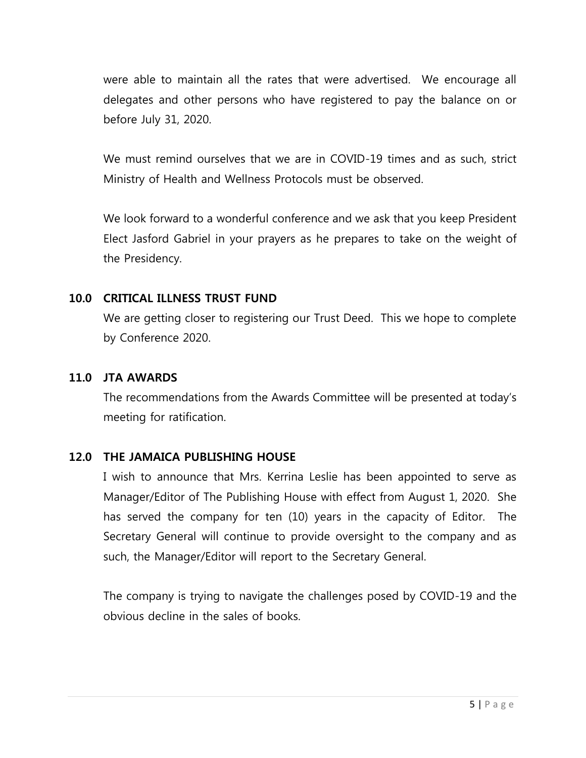were able to maintain all the rates that were advertised. We encourage all delegates and other persons who have registered to pay the balance on or before July 31, 2020.

We must remind ourselves that we are in COVID-19 times and as such, strict Ministry of Health and Wellness Protocols must be observed.

We look forward to a wonderful conference and we ask that you keep President Elect Jasford Gabriel in your prayers as he prepares to take on the weight of the Presidency.

# **10.0 CRITICAL ILLNESS TRUST FUND**

We are getting closer to registering our Trust Deed. This we hope to complete by Conference 2020.

### **11.0 JTA AWARDS**

The recommendations from the Awards Committee will be presented at today's meeting for ratification.

# **12.0 THE JAMAICA PUBLISHING HOUSE**

I wish to announce that Mrs. Kerrina Leslie has been appointed to serve as Manager/Editor of The Publishing House with effect from August 1, 2020. She has served the company for ten (10) years in the capacity of Editor. The Secretary General will continue to provide oversight to the company and as such, the Manager/Editor will report to the Secretary General.

The company is trying to navigate the challenges posed by COVID-19 and the obvious decline in the sales of books.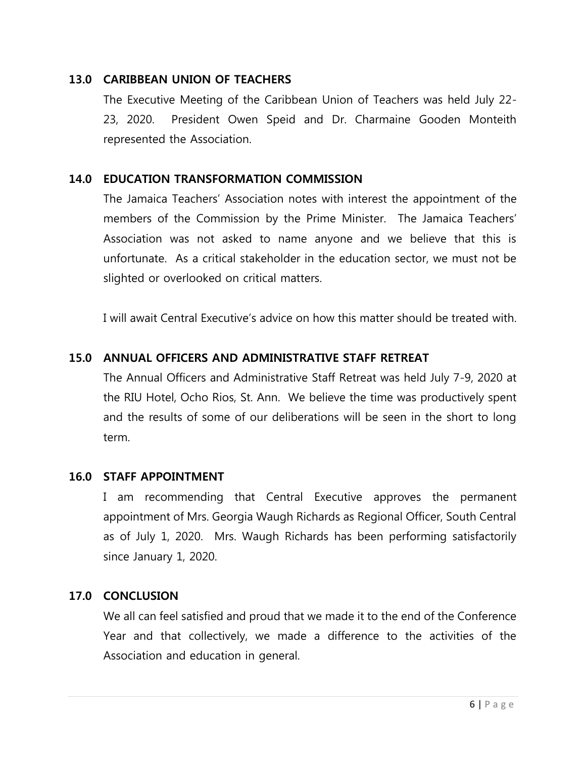# **13.0 CARIBBEAN UNION OF TEACHERS**

The Executive Meeting of the Caribbean Union of Teachers was held July 22- 23, 2020. President Owen Speid and Dr. Charmaine Gooden Monteith represented the Association.

# **14.0 EDUCATION TRANSFORMATION COMMISSION**

The Jamaica Teachers' Association notes with interest the appointment of the members of the Commission by the Prime Minister. The Jamaica Teachers' Association was not asked to name anyone and we believe that this is unfortunate. As a critical stakeholder in the education sector, we must not be slighted or overlooked on critical matters.

I will await Central Executive's advice on how this matter should be treated with.

# **15.0 ANNUAL OFFICERS AND ADMINISTRATIVE STAFF RETREAT**

The Annual Officers and Administrative Staff Retreat was held July 7-9, 2020 at the RIU Hotel, Ocho Rios, St. Ann. We believe the time was productively spent and the results of some of our deliberations will be seen in the short to long term.

### **16.0 STAFF APPOINTMENT**

I am recommending that Central Executive approves the permanent appointment of Mrs. Georgia Waugh Richards as Regional Officer, South Central as of July 1, 2020. Mrs. Waugh Richards has been performing satisfactorily since January 1, 2020.

### **17.0 CONCLUSION**

We all can feel satisfied and proud that we made it to the end of the Conference Year and that collectively, we made a difference to the activities of the Association and education in general.